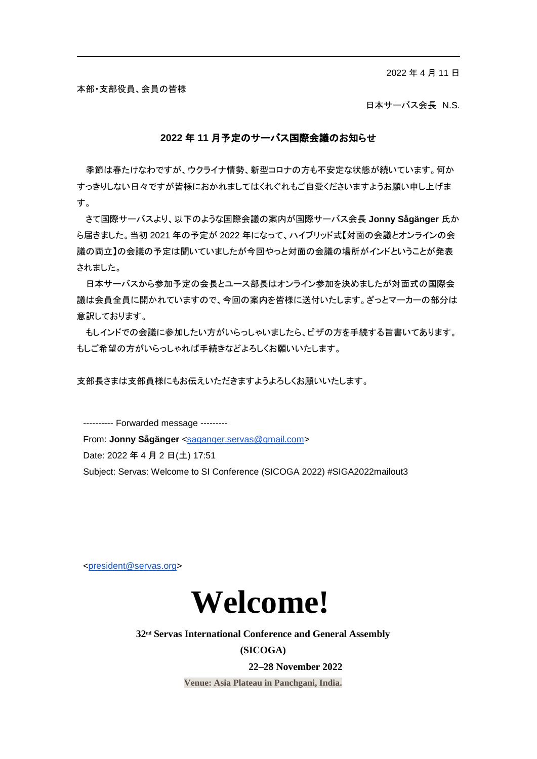2022 年 4 月 11 日

本部・支部役員、会員の皆様

日本サーバス会長 N.S.

#### **2022** 年 **11** 月予定のサーバス国際会議のお知らせ

季節は春たけなわですが、ウクライナ情勢、新型コロナの方も不安定な状態が続いています。何か すっきりしない日々ですが皆様におかれましてはくれぐれもご自愛くださいますようお願い申し上げま す。

さて国際サーバスより、以下のような国際会議の案内が国際サーバス会長 **Jonny Sågänger** 氏か ら届きました。当初 2021 年の予定が 2022 年になって、ハイブリッド式【対面の会議とオンラインの会 議の両立】の会議の予定は聞いていましたが今回やっと対面の会議の場所がインドということが発表 されました。

日本サーバスから参加予定の会長とユース部長はオンライン参加を決めましたが対面式の国際会 議は会員全員に開かれていますので、今回の案内を皆様に送付いたします。ざっとマーカーの部分は 意訳しております。

もしインドでの会議に参加したい方がいらっしゃいましたら、ビザの方を手続する旨書いてあります。 もしご希望の方がいらっしゃれば手続きなどよろしくお願いいたします。

支部長さまは支部員様にもお伝えいただきますようよろしくお願いいたします。

---------- Forwarded message ---------

From: **Jonny Sågänger** [<saganger.servas@gmail.com>](mailto:saganger.servas@gmail.com)

Date: 2022 年 4 月 2 日(土) 17:51

Subject: Servas: Welcome to SI Conference (SICOGA 2022) #SIGA2022mailout3

[<president@servas.org>](mailto:president@servas.org)



**32nd Servas International Conference and General Assembly (SICOGA)**

**22–28 November 2022**

**Venue: Asia Plateau in Panchgani, India.**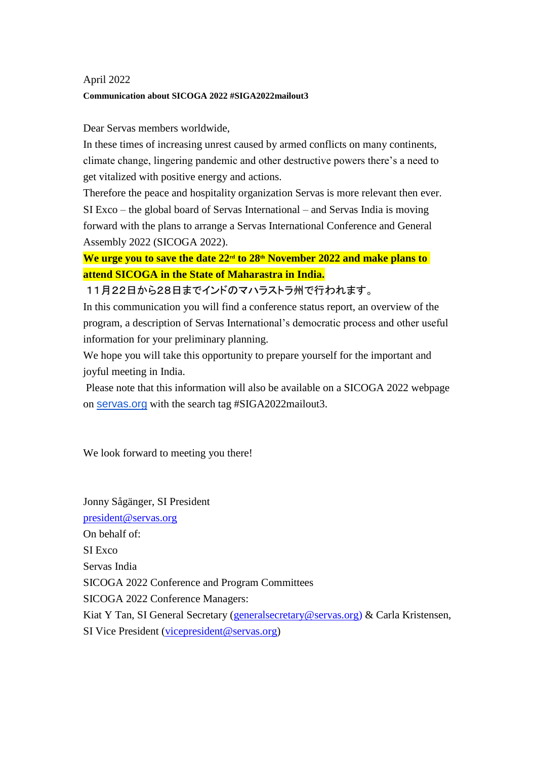# April 2022 **Communication about SICOGA 2022 #SIGA2022mailout3**

## Dear Servas members worldwide,

In these times of increasing unrest caused by armed conflicts on many continents, climate change, lingering pandemic and other destructive powers there's a need to get vitalized with positive energy and actions.

Therefore the peace and hospitality organization Servas is more relevant then ever. SI Exco – the global board of Servas International – and Servas India is moving forward with the plans to arrange a Servas International Conference and General Assembly 2022 (SICOGA 2022).

**We urge you to save the date 22rd to 28th November 2022 and make plans to attend SICOGA in the State of Maharastra in India.**

11月22日から28日までインドのマハラストラ州で行われます。

In this communication you will find a conference status report, an overview of the program, a description of Servas International's democratic process and other useful information for your preliminary planning.

We hope you will take this opportunity to prepare yourself for the important and joyful meeting in India.

Please note that this information will also be available on a SICOGA 2022 webpage on [servas.org](http://servas.org/) with the search tag #SIGA2022mailout3.

We look forward to meeting you there!

Jonny Sågänger, SI President [president@servas.org](mailto:president@servas.org) On behalf of: SI Exco. Servas India SICOGA 2022 Conference and Program Committees SICOGA 2022 Conference Managers: Kiat Y Tan, SI General Secretary [\(generalsecretary@servas.org\)](mailto:generalsecretary@servas.org) & Carla Kristensen, SI Vice President [\(vicepresident@servas.org\)](mailto:vicepresident@servas.org)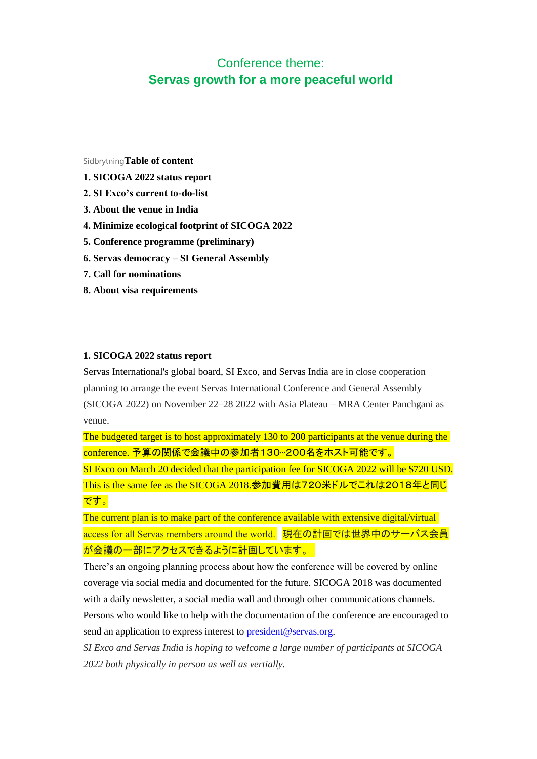# Conference theme: **Servas growth for a more peaceful world**

Sidbrytning**Table of content**

- **1. SICOGA 2022 status report**
- **2. SI Exco's current to-do-list**
- **3. About the venue in India**
- **4. Minimize ecological footprint of SICOGA 2022**
- **5. Conference programme (preliminary)**
- **6. Servas democracy – SI General Assembly**
- **7. Call for nominations**
- **8. About visa requirements**

### **1. SICOGA 2022 status report**

Servas International's global board, SI Exco, and Servas India are in close cooperation planning to arrange the event Servas International Conference and General Assembly (SICOGA 2022) on November 22–28 2022 with Asia Plateau – MRA Center Panchgani as venue.

The budgeted target is to host approximately 130 to 200 participants at the venue during the conference. 予算の関係で会議中の参加者130~200名をホスト可能です。

SI Exco on March 20 decided that the participation fee for SICOGA 2022 will be \$720 USD. This is the same fee as the SICOGA 2018.参加費用は720米ドルでこれは2018年と同じ です。

The current plan is to make part of the conference available with extensive digital/virtual access for all Servas members around the world. 現在の計画では世界中のサーバス会員 が会議の一部にアクセスできるように計画しています。  

There's an ongoing planning process about how the conference will be covered by online coverage via social media and documented for the future. SICOGA 2018 was documented with a daily newsletter, a social media wall and through other communications channels. Persons who would like to help with the documentation of the conference are encouraged to send an application to express interest to [president@servas.org.](mailto:president@servas.org)

*SI Exco and Servas India is hoping to welcome a large number of participants at SICOGA 2022 both physically in person as well as vertially.*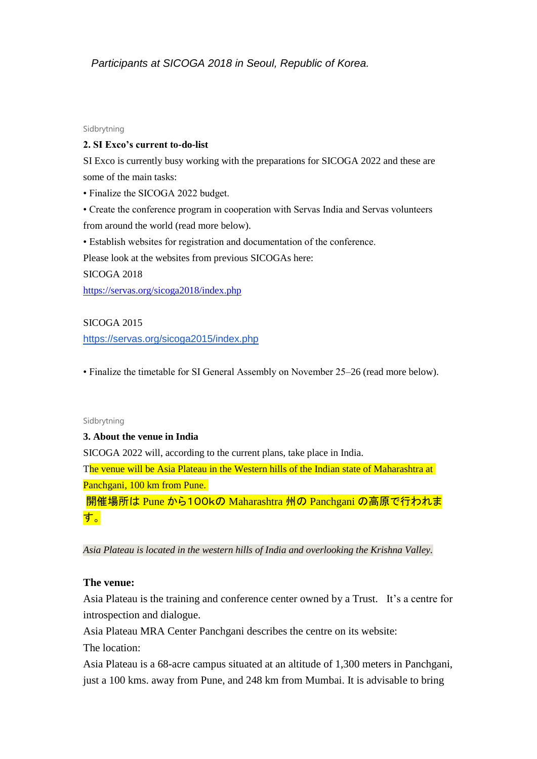## *Participants at SICOGA 2018 in Seoul, Republic of Korea.*

#### Sidbrytning

## **2. SI Exco's current to-do-list**

SI Exco is currently busy working with the preparations for SICOGA 2022 and these are some of the main tasks:

• Finalize the SICOGA 2022 budget.

• Create the conference program in cooperation with Servas India and Servas volunteers from around the world (read more below).

• Establish websites for registration and documentation of the conference.

Please look at the websites from previous SICOGAs here:

SICOGA 2018

<https://servas.org/sicoga2018/index.php>

## SICOGA 2015

<https://servas.org/sicoga2015/index.php>

• Finalize the timetable for SI General Assembly on November 25–26 (read more below).

#### Sidbrytning

#### **3. About the venue in India**

SICOGA 2022 will, according to the current plans, take place in India.

The venue will be Asia Plateau in the Western hills of the Indian state of Maharashtra at Panchgani, 100 km from Pune.

開催場所は Pune から100kの Maharashtra 州の Panchgani の高原で行われま す。

*Asia Plateau is located in the western hills of India and overlooking the Krishna Valley.*

### **The venue:**

Asia Plateau is the training and conference center owned by a Trust. It's a centre for introspection and dialogue.

Asia Plateau MRA Center Panchgani describes the centre on its website:

The location:

Asia Plateau is a 68-acre campus situated at an altitude of 1,300 meters in Panchgani, just a 100 kms. away from Pune, and 248 km from Mumbai. It is advisable to bring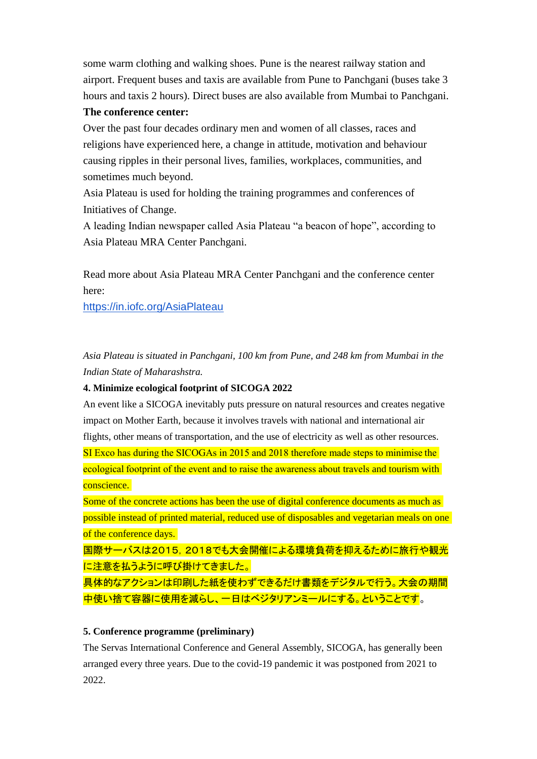some warm clothing and walking shoes. Pune is the nearest railway station and airport. Frequent buses and taxis are available from Pune to Panchgani (buses take 3 hours and taxis 2 hours). Direct buses are also available from Mumbai to Panchgani.

## **The conference center:**

Over the past four decades ordinary men and women of all classes, races and religions have experienced here, a change in attitude, motivation and behaviour causing ripples in their personal lives, families, workplaces, communities, and sometimes much beyond.

Asia Plateau is used for holding the training programmes and conferences of Initiatives of Change.

A leading Indian newspaper called Asia Plateau "a beacon of hope", according to Asia Plateau MRA Center Panchgani.

Read more about Asia Plateau MRA Center Panchgani and the conference center here:

<https://in.iofc.org/AsiaPlateau>

*Asia Plateau is situated in Panchgani, 100 km from Pune, and 248 km from Mumbai in the Indian State of Maharashstra.*

## **4. Minimize ecological footprint of SICOGA 2022**

An event like a SICOGA inevitably puts pressure on natural resources and creates negative impact on Mother Earth, because it involves travels with national and international air flights, other means of transportation, and the use of electricity as well as other resources. SI Exco has during the SICOGAs in 2015 and 2018 therefore made steps to minimise the ecological footprint of the event and to raise the awareness about travels and tourism with conscience.

Some of the concrete actions has been the use of digital conference documents as much as possible instead of printed material, reduced use of disposables and vegetarian meals on one of the conference days.

国際サーバスは2015,2018でも大会開催による環境負荷を抑えるために旅行や観光 に注意を払うように呼び掛けてきました。

具体的なアクションは印刷した紙を使わずできるだけ書類をデジタルで行う。大会の期間 中使い捨て容器に使用を減らし、一日はベジタリアンミールにする。ということです。

## **5. Conference programme (preliminary)**

The Servas International Conference and General Assembly, SICOGA, has generally been arranged every three years. Due to the covid-19 pandemic it was postponed from 2021 to 2022.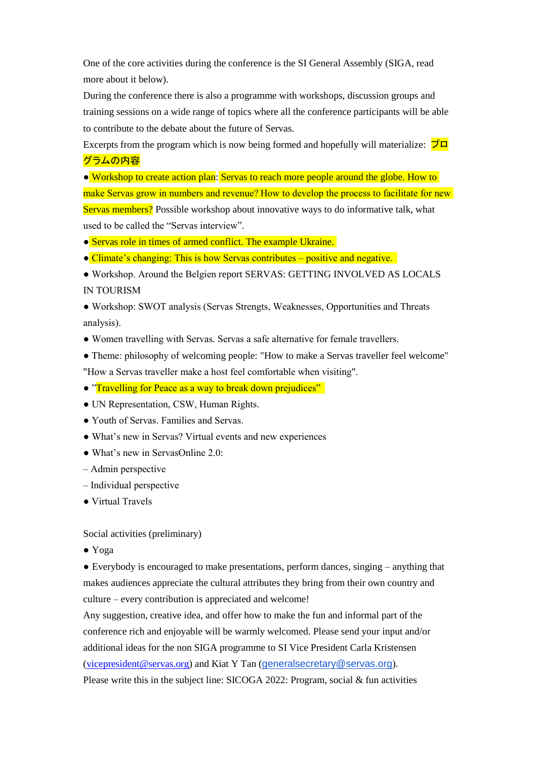One of the core activities during the conference is the SI General Assembly (SIGA, read more about it below).

During the conference there is also a programme with workshops, discussion groups and training sessions on a wide range of topics where all the conference participants will be able to contribute to the debate about the future of Servas.

Excerpts from the program which is now being formed and hopefully will materialize:  $\vec{v}$ グラムの内容

● Workshop to create action plan: Servas to reach more people around the globe. How to make Servas grow in numbers and revenue? How to develop the process to facilitate for new Servas members? Possible workshop about innovative ways to do informative talk, what used to be called the "Servas interview".

● Servas role in times of armed conflict. The example Ukraine.

● Climate's changing: This is how Servas contributes – positive and negative. 

● Workshop. Around the Belgien report SERVAS: GETTING INVOLVED AS LOCALS IN TOURISM 

● Workshop: SWOT analysis (Servas Strengts, Weaknesses, Opportunities and Threats analysis). 

● Women travelling with Servas. Servas a safe alternative for female travellers.  

• Theme: philosophy of welcoming people: "How to make a Servas traveller feel welcome" "How a Servas traveller make a host feel comfortable when visiting". 

• "Travelling for Peace as a way to break down prejudices"

● UN Representation, CSW, Human Rights.

● Youth of Servas. Families and Servas. 

● What's new in Servas? Virtual events and new experiences 

● What's new in ServasOnline 2.0: 

– Admin perspective 

– Individual perspective 

● Virtual Travels  

Social activities (preliminary)

● Yoga

● Everybody is encouraged to make presentations, perform dances, singing – anything that makes audiences appreciate the cultural attributes they bring from their own country and culture – every contribution is appreciated and welcome!

Any suggestion, creative idea, and offer how to make the fun and informal part of the conference rich and enjoyable will be warmly welcomed. Please send your input and/or additional ideas for the non SIGA programme to SI Vice President Carla Kristensen [\(vicepresident@servas.org\)](mailto:vicepresident@servas.org) and Kiat Y Tan ([generalsecretary@servas.org](mailto:generalsecretary@servas.org)).

Please write this in the subject line: SICOGA 2022: Program, social  $&$  fun activities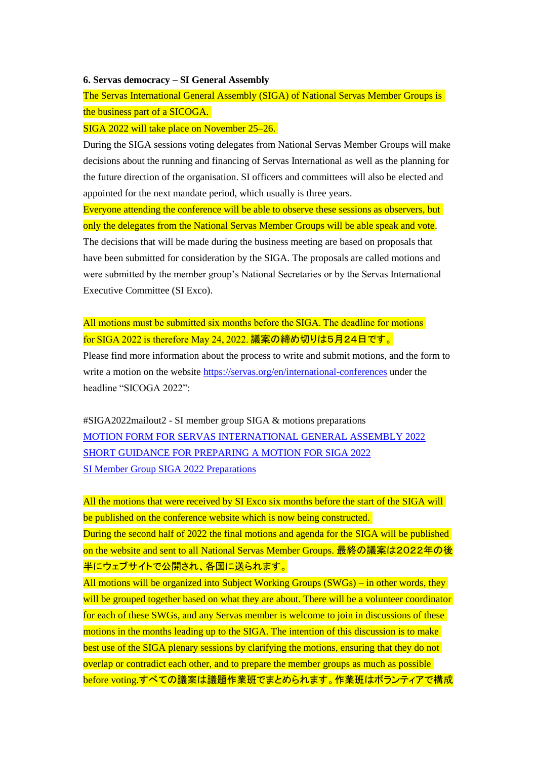#### **6. Servas democracy – SI General Assembly**

The Servas International General Assembly (SIGA) of National Servas Member Groups is the business part of a SICOGA.

#### SIGA 2022 will take place on November 25–26.

During the SIGA sessions voting delegates from National Servas Member Groups will make decisions about the running and financing of Servas International as well as the planning for the future direction of the organisation. SI officers and committees will also be elected and appointed for the next mandate period, which usually is three years.

Everyone attending the conference will be able to observe these sessions as observers, but only the delegates from the National Servas Member Groups will be able speak and vote. The decisions that will be made during the business meeting are based on proposals that have been submitted for consideration by the SIGA. The proposals are called motions and were submitted by the member group's National Secretaries or by the Servas International Executive Committee (SI Exco).

All motions must be submitted six months before the SIGA. The deadline for motions for SIGA 2022 is therefore May 24, 2022. 議案の締め切りは5月24日です。

Please find more information about the process to write and submit motions, and the form to write a motion on the website<https://servas.org/en/international-conferences> under the headline "SICOGA 2022":

#SIGA2022mailout2 - SI member group SIGA & motions preparations [MOTION FORM FOR SERVAS INTERNATIONAL GENERAL ASSEMBLY 2022](https://servas.org/sites/default/files/uploads/international_conferences/2022/motion_form_for_servas_international_general_assembly_2022_220221.docx) SHORT GUIDANCE [FOR PREPARING A MOTION FOR SIGA 2022](https://servas.org/sites/default/files/uploads/international_conferences/2022/short_guidance_for_preparing_a_motion_for_siga_2022_220315.pdf) [SI Member Group SIGA 2022 Preparations](https://servas.org/sites/default/files/uploads/international_conferences/2022/si_member_group_siga_2022_preparations_220315.pdf)

All the motions that were received by SI Exco six months before the start of the SIGA will be published on the conference website which is now being constructed.

During the second half of 2022 the final motions and agenda for the SIGA will be published on the website and sent to all National Servas Member Groups. 最終の議案は2022年の後 半にウェブサイトで公開され、各国に送られます。

All motions will be organized into Subject Working Groups (SWGs) – in other words, they will be grouped together based on what they are about. There will be a volunteer coordinator for each of these SWGs, and any Servas member is welcome to join in discussions of these motions in the months leading up to the SIGA. The intention of this discussion is to make best use of the SIGA plenary sessions by clarifying the motions, ensuring that they do not overlap or contradict each other, and to prepare the member groups as much as possible before voting.すべての議案は議題作業班でまとめられます。作業班はボランティアで構成